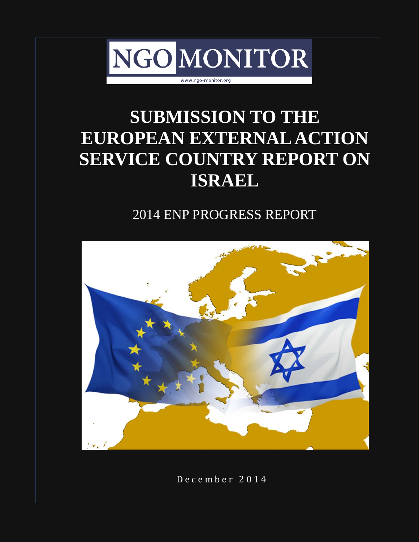

## **SUBMISSION TO THE EUROPEAN EXTERNAL ACTION SERVICE COUNTRY REPORT ON ISRAEL**

### 2014 ENP PROGRESS REPORT



D e c e m b e r 2 0 1 4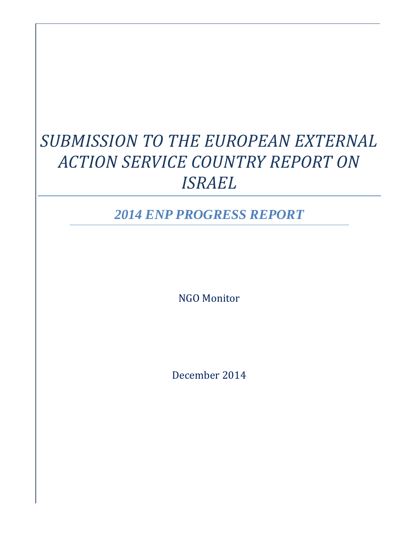## *SUBMISSION TO THE EUROPEAN EXTERNAL ACTION SERVICE COUNTRY REPORT ON ISRAEL*

*2014 ENP PROGRESS REPORT*

NGO Monitor

December 2014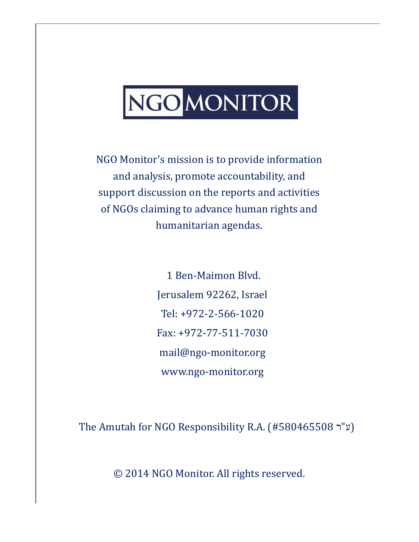# NGOMONITOR

NGO Monitor's mission is to provide information and analysis, promote accountability, and support discussion on the reports and activities of NGOs claiming to advance human rights and humanitarian agendas.

> 1 Ben-Maimon Blvd. Jerusalem 92262, Israel Tel: +972-2-566-1020 Fax: +972-77-511-7030 [mail@ngo-monitor.org](mailto:mail@ngo-monitor.org) [www.ngo-monitor.org](http://www.ngo-monitor.org/)

The Amutah for NGO Responsibility R.A. (#580465508 ע"ר)

© 2014 NGO Monitor. All rights reserved.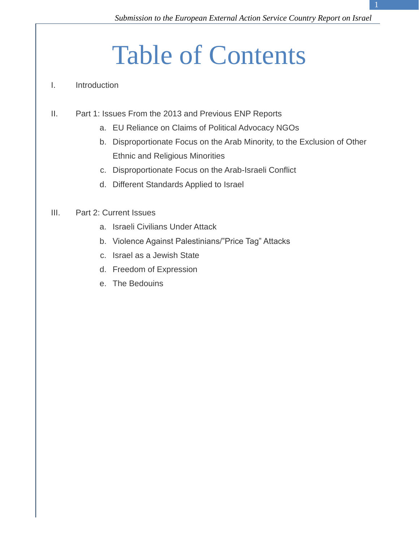# Table of Contents

#### I. Introduction

- II. Part 1: Issues From the 2013 and Previous ENP Reports
	- a. EU Reliance on Claims of Political Advocacy NGOs
	- b. Disproportionate Focus on the Arab Minority, to the Exclusion of Other Ethnic and Religious Minorities
	- c. Disproportionate Focus on the Arab-Israeli Conflict
	- d. Different Standards Applied to Israel

#### III. Part 2: Current Issues

- a. Israeli Civilians Under Attack
- b. Violence Against Palestinians/"Price Tag" Attacks
- c. Israel as a Jewish State
- d. Freedom of Expression
- e. The Bedouins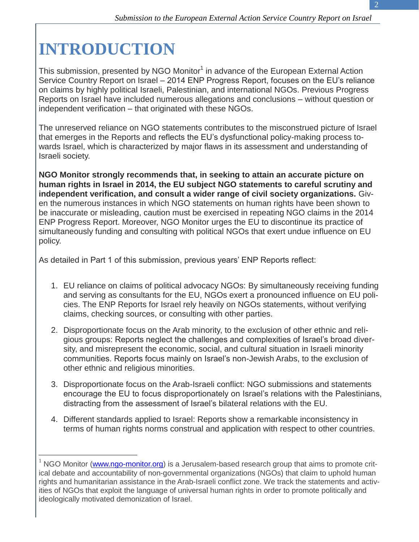## **INTRODUCTION**

 $\overline{a}$ 

This submission, presented by NGO Monitor<sup>1</sup> in advance of the European External Action Service Country Report on Israel – 2014 ENP Progress Report, focuses on the EU's reliance on claims by highly political Israeli, Palestinian, and international NGOs. Previous Progress Reports on Israel have included numerous allegations and conclusions – without question or independent verification – that originated with these NGOs.

The unreserved reliance on NGO statements contributes to the misconstrued picture of Israel that emerges in the Reports and reflects the EU's dysfunctional policy-making process towards Israel, which is characterized by major flaws in its assessment and understanding of Israeli society.

**NGO Monitor strongly recommends that, in seeking to attain an accurate picture on human rights in Israel in 2014, the EU subject NGO statements to careful scrutiny and independent verification, and consult a wider range of civil society organizations.** Given the numerous instances in which NGO statements on human rights have been shown to be inaccurate or misleading, caution must be exercised in repeating NGO claims in the 2014 ENP Progress Report. Moreover, NGO Monitor urges the EU to discontinue its practice of simultaneously funding and consulting with political NGOs that exert undue influence on EU policy.

As detailed in Part 1 of this submission, previous years' ENP Reports reflect:

- 1. EU reliance on claims of political advocacy NGOs: By simultaneously receiving funding and serving as consultants for the EU, NGOs exert a pronounced influence on EU policies. The ENP Reports for Israel rely heavily on NGOs statements, without verifying claims, checking sources, or consulting with other parties.
- 2. Disproportionate focus on the Arab minority, to the exclusion of other ethnic and religious groups: Reports neglect the challenges and complexities of Israel's broad diversity, and misrepresent the economic, social, and cultural situation in Israeli minority communities. Reports focus mainly on Israel's non-Jewish Arabs, to the exclusion of other ethnic and religious minorities.
- 3. Disproportionate focus on the Arab-Israeli conflict: NGO submissions and statements encourage the EU to focus disproportionately on Israel's relations with the Palestinians, distracting from the assessment of Israel's bilateral relations with the EU.
- 4. Different standards applied to Israel: Reports show a remarkable inconsistency in terms of human rights norms construal and application with respect to other countries.

 $1$  NGO Monitor [\(www.ngo-monitor.org\)](http://www.ngo-monitor.org/) is a Jerusalem-based research group that aims to promote critical debate and accountability of non-governmental organizations (NGOs) that claim to uphold human rights and humanitarian assistance in the Arab-Israeli conflict zone. We track the statements and activities of NGOs that exploit the language of universal human rights in order to promote politically and ideologically motivated demonization of Israel.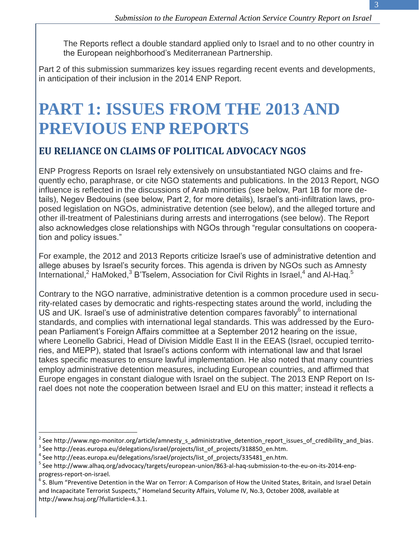The Reports reflect a double standard applied only to Israel and to no other country in the European neighborhood's Mediterranean Partnership.

Part 2 of this submission summarizes key issues regarding recent events and developments, in anticipation of their inclusion in the 2014 ENP Report.

## **PART 1: ISSUES FROM THE 2013 AND PREVIOUS ENP REPORTS**

#### **EU RELIANCE ON CLAIMS OF POLITICAL ADVOCACY NGOS**

ENP Progress Reports on Israel rely extensively on unsubstantiated NGO claims and frequently echo, paraphrase, or cite NGO statements and publications. In the 2013 Report, NGO influence is reflected in the discussions of Arab minorities (see below, Part 1B for more details), Negev Bedouins (see below, Part 2, for more details), Israel's anti-infiltration laws, proposed legislation on NGOs, administrative detention (see below), and the alleged torture and other ill-treatment of Palestinians during arrests and interrogations (see below). The Report also acknowledges close relationships with NGOs through "regular consultations on cooperation and policy issues."

For example, the 2012 and 2013 Reports criticize Israel's use of administrative detention and allege abuses by Israel's security forces. This agenda is driven by NGOs such as Amnesty International,<sup>2</sup> HaMoked,<sup>3</sup> B'Tselem, Association for Civil Rights in Israel,<sup>4</sup> and Al-Haq.<sup>5</sup>

Contrary to the NGO narrative, administrative detention is a common procedure used in security-related cases by democratic and rights-respecting states around the world, including the US and UK. Israel's use of administrative detention compares favorably $6$  to international standards, and complies with international legal standards. This was addressed by the European Parliament's Foreign Affairs committee at a September 2012 hearing on the issue, where Leonello Gabrici, Head of Division Middle East II in the EEAS (Israel, occupied territories, and MEPP), stated that Israel's actions conform with international law and that Israel takes specific measures to ensure lawful implementation. He also noted that many countries employ administrative detention measures, including European countries, and affirmed that Europe engages in constant dialogue with Israel on the subject. The 2013 ENP Report on Israel does not note the cooperation between Israel and EU on this matter; instead it reflects a

 $^2$  See http://www.ngo-monitor.org/article/amnesty\_s\_administrative\_detention\_report\_issues\_of\_credibility\_and\_bias.  $^3$  See http://eeas.europa.eu/delegations/israel/projects/list\_of\_projects/318850\_en.htm.

<sup>4</sup> See http://eeas.europa.eu/delegations/israel/projects/list\_of\_projects/335481\_en.htm.

<sup>&</sup>lt;sup>5</sup> See http://www.alhaq.org/advocacy/targets/european-union/863-al-haq-submission-to-the-eu-on-its-2014-enpprogress-report-on-israel.

 $^6$  S. Blum "Preventive Detention in the War on Terror: A Comparison of How the United States, Britain, and Israel Detain and Incapacitate Terrorist Suspects," Homeland Security Affairs, Volume IV, No.3, October 2008, available at http://www.hsaj.org/?fullarticle=4.3.1.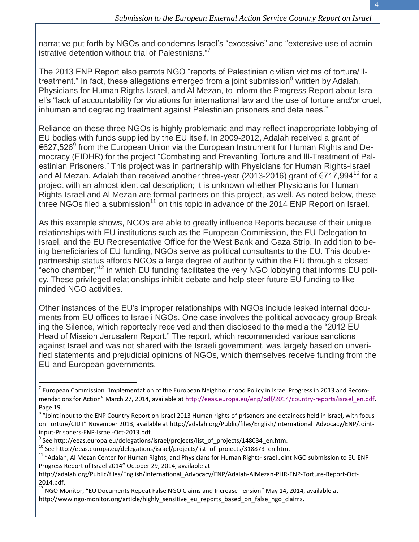narrative put forth by NGOs and condemns Israel's "excessive" and "extensive use of administrative detention without trial of Palestinians."<sup>7</sup>

The 2013 ENP Report also parrots NGO "reports of Palestinian civilian victims of torture/illtreatment." In fact, these allegations emerged from a joint submission<sup>8</sup> written by Adalah, Physicians for Human Rigths-Israel, and Al Mezan, to inform the Progress Report about Israel's "lack of accountability for violations for international law and the use of torture and/or cruel, inhuman and degrading treatment against Palestinian prisoners and detainees."

Reliance on these three NGOs is highly problematic and may reflect inappropriate lobbying of EU bodies with funds supplied by the EU itself. In 2009-2012, Adalah received a grant of €627,526<sup>9</sup> from the European Union via the European Instrument for Human Rights and Democracy (EIDHR) for the project "Combating and Preventing Torture and Ill-Treatment of Palestinian Prisoners." This project was in partnership with Physicians for Human Rights-Israel and Al Mezan. Adalah then received another three-year (2013-2016) grant of  $\epsilon$ 717,994<sup>10</sup> for a project with an almost identical description; it is unknown whether Physicians for Human Rights-Israel and Al Mezan are formal partners on this project, as well. As noted below, these three NGOs filed a submission $11$  on this topic in advance of the 2014 ENP Report on Israel.

As this example shows, NGOs are able to greatly influence Reports because of their unique relationships with EU institutions such as the European Commission, the EU Delegation to Israel, and the EU Representative Office for the West Bank and Gaza Strip. In addition to being beneficiaries of EU funding, NGOs serve as political consultants to the EU. This doublepartnership status affords NGOs a large degree of authority within the EU through a closed "echo chamber,"<sup>12</sup> in which EU funding facilitates the very NGO lobbying that informs EU policy. These privileged relationships inhibit debate and help steer future EU funding to likeminded NGO activities.

Other instances of the EU's improper relationships with NGOs include leaked internal documents from EU offices to Israeli NGOs. One case involves the political advocacy group Breaking the Silence, which reportedly received and then disclosed to the media the "2012 EU Head of Mission Jerusalem Report." The report, which recommended various sanctions against Israel and was not shared with the Israeli government, was largely based on unverified statements and prejudicial opinions of NGOs, which themselves receive funding from the EU and European governments.

 $^7$  European Commission "Implementation of the European Neighbourhood Policy in Israel Progress in 2013 and Recommendations for Action" March 27, 2014, available at [http://eeas.europa.eu/enp/pdf/2014/country-reports/israel\\_en.pdf.](http://eeas.europa.eu/enp/pdf/2014/country-reports/israel_en.pdf) Page 19.

<sup>&</sup>lt;sup>8</sup> "Joint input to the ENP Country Report on Israel 2013 Human rights of prisoners and detainees held in Israel, with focus on Torture/CIDT" November 2013, available at http://adalah.org/Public/files/English/International\_Advocacy/ENP/Jointinput-Prisoners-ENP-Israel-Oct-2013.pdf.

<sup>&</sup>lt;sup>9</sup> See http://eeas.europa.eu/delegations/israel/projects/list\_of\_projects/148034\_en.htm.

<sup>10</sup> See http://eeas.europa.eu/delegations/israel/projects/list\_of\_projects/318873\_en.htm.

<sup>&</sup>lt;sup>11</sup> "Adalah, Al Mezan Center for Human Rights, and Physicians for Human Rights-Israel Joint NGO submission to EU ENP Progress Report of Israel 2014" October 29, 2014, available at

http://adalah.org/Public/files/English/International\_Advocacy/ENP/Adalah-AlMezan-PHR-ENP-Torture-Report-Oct-2014.pdf.

<sup>&</sup>lt;sup>12</sup> NGO Monitor, "EU Documents Repeat False NGO Claims and Increase Tension" May 14, 2014, available at http://www.ngo-monitor.org/article/highly\_sensitive\_eu\_reports\_based\_on\_false\_ngo\_claims.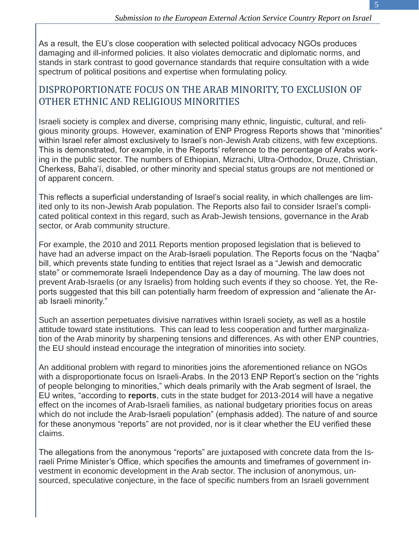5

As a result, the EU's close cooperation with selected political advocacy NGOs produces damaging and ill-informed policies. It also violates democratic and diplomatic norms, and stands in stark contrast to good governance standards that require consultation with a wide spectrum of political positions and expertise when formulating policy.

#### DISPROPORTIONATE FOCUS ON THE ARAB MINORITY, TO EXCLUSION OF OTHER ETHNIC AND RELIGIOUS MINORITIES

Israeli society is complex and diverse, comprising many ethnic, linguistic, cultural, and religious minority groups. However, examination of ENP Progress Reports shows that "minorities" within Israel refer almost exclusively to Israel's non-Jewish Arab citizens, with few exceptions. This is demonstrated, for example, in the Reports' reference to the percentage of Arabs working in the public sector. The numbers of Ethiopian, Mizrachi, Ultra-Orthodox, Druze, Christian, Cherkess, Baha'í, disabled, or other minority and special status groups are not mentioned or of apparent concern.

This reflects a superficial understanding of Israel's social reality, in which challenges are limited only to its non-Jewish Arab population. The Reports also fail to consider Israel's complicated political context in this regard, such as Arab-Jewish tensions, governance in the Arab sector, or Arab community structure.

For example, the 2010 and 2011 Reports mention proposed legislation that is believed to have had an adverse impact on the Arab-Israeli population. The Reports focus on the "Naqba" bill, which prevents state funding to entities that reject Israel as a "Jewish and democratic state" or commemorate Israeli Independence Day as a day of mourning. The law does not prevent Arab-Israelis (or any Israelis) from holding such events if they so choose. Yet, the Reports suggested that this bill can potentially harm freedom of expression and "alienate the Arab Israeli minority."

Such an assertion perpetuates divisive narratives within Israeli society, as well as a hostile attitude toward state institutions. This can lead to less cooperation and further marginalization of the Arab minority by sharpening tensions and differences. As with other ENP countries, the EU should instead encourage the integration of minorities into society.

An additional problem with regard to minorities joins the aforementioned reliance on NGOs with a disproportionate focus on Israeli-Arabs. In the 2013 ENP Report's section on the "rights of people belonging to minorities," which deals primarily with the Arab segment of Israel, the EU writes, "according to **reports**, cuts in the state budget for 2013-2014 will have a negative effect on the incomes of Arab-Israeli families, as national budgetary priorities focus on areas which do not include the Arab-Israeli population" (emphasis added). The nature of and source for these anonymous "reports" are not provided, nor is it clear whether the EU verified these claims.

The allegations from the anonymous "reports" are juxtaposed with concrete data from the Israeli Prime Minister's Office, which specifies the amounts and timeframes of government investment in economic development in the Arab sector. The inclusion of anonymous, unsourced, speculative conjecture, in the face of specific numbers from an Israeli government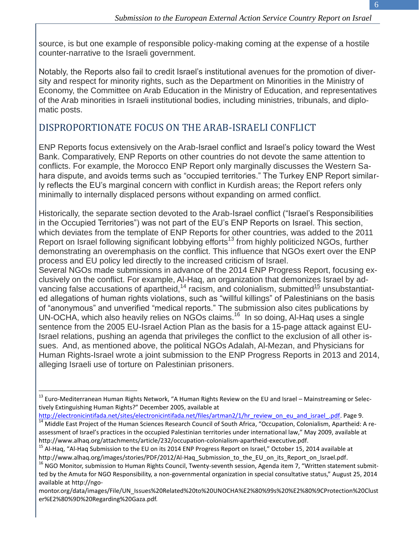6

source, is but one example of responsible policy-making coming at the expense of a hostile counter-narrative to the Israeli government.

Notably, the Reports also fail to credit Israel's institutional avenues for the promotion of diversity and respect for minority rights, such as the Department on Minorities in the Ministry of Economy, the Committee on Arab Education in the Ministry of Education, and representatives of the Arab minorities in Israeli institutional bodies, including ministries, tribunals, and diplomatic posts.

#### DISPROPORTIONATE FOCUS ON THE ARAB-ISRAELI CONFLICT

ENP Reports focus extensively on the Arab-Israel conflict and Israel's policy toward the West Bank. Comparatively, ENP Reports on other countries do not devote the same attention to conflicts. For example, the Morocco ENP Report only marginally discusses the Western Sahara dispute, and avoids terms such as "occupied territories." The Turkey ENP Report similarly reflects the EU's marginal concern with conflict in Kurdish areas; the Report refers only minimally to internally displaced persons without expanding on armed conflict.

Historically, the separate section devoted to the Arab-Israel conflict ("Israel's Responsibilities in the Occupied Territories") was not part of the EU's ENP Reports on Israel. This section, which deviates from the template of ENP Reports for other countries, was added to the 2011 Report on Israel following significant lobbying efforts<sup>13</sup> from highly politicized NGOs, further demonstrating an overemphasis on the conflict. This influence that NGOs exert over the ENP process and EU policy led directly to the increased criticism of Israel.

Several NGOs made submissions in advance of the 2014 ENP Progress Report, focusing exclusively on the conflict. For example, Al-Haq, an organization that demonizes Israel by advancing false accusations of apartheid,<sup>14</sup> racism, and colonialism, submitted<sup>15</sup> unsubstantiated allegations of human rights violations, such as "willful killings" of Palestinians on the basis of "anonymous" and unverified "medical reports." The submission also cites publications by UN-OCHA, which also heavily relies on NGOs claims.<sup>16</sup> In so doing, Al-Haq uses a single sentence from the 2005 EU-Israel Action Plan as the basis for a 15-page attack against EU-Israel relations, pushing an agenda that privileges the conflict to the exclusion of all other issues. And, as mentioned above, the political NGOs Adalah, Al-Mezan, and Physicians for Human Rights-Israel wrote a joint submission to the ENP Progress Reports in 2013 and 2014, alleging Israeli use of torture on Palestinian prisoners.

<sup>&</sup>lt;sup>13</sup> Euro-Mediterranean Human Rights Network, "A Human Rights Review on the EU and Israel – Mainstreaming or Selectively Extinguishing Human Rights?" December 2005, available at

[http://electronicintifada.net/sites/electronicintifada.net/files/artman2/1/hr\\_review\\_on\\_eu\\_and\\_israel\\_.pdf.](http://electronicintifada.net/sites/electronicintifada.net/files/artman2/1/hr_review_on_eu_and_israel_.pdf) Page 9.

<sup>&</sup>lt;sup>14</sup> Middle East Project of the Human Sciences Research Council of South Africa, "Occupation, Colonialism, Apartheid: A reassessment of Israel's practices in the occupied Palestinian territories under international law," May 2009, available at http://www.alhaq.org/attachments/article/232/occupation-colonialism-apartheid-executive.pdf.

<sup>&</sup>lt;sup>15</sup> Al-Haq, "Al-Haq Submission to the EU on its 2014 ENP Progress Report on Israel," October 15, 2014 available at http://www.alhaq.org/images/stories/PDF/2012/Al-Haq\_Submission\_to\_the\_EU\_on\_its\_Report\_on\_Israel.pdf.

<sup>&</sup>lt;sup>16</sup> NGO Monitor, submission to Human Rights Council, Twenty-seventh session, Agenda item 7, "Written statement submitted by the Amuta for NGO Responsibility, a non-governmental organization in special consultative status," August 25, 2014 available at http://ngo-

montor.org/data/images/File/UN\_Issues%20Related%20to%20UNOCHA%E2%80%99s%20%E2%80%9CProtection%20Clust er%E2%80%9D%20Regarding%20Gaza.pdf.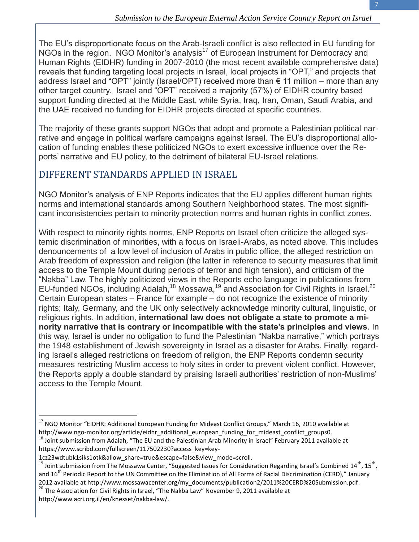The EU's disproportionate focus on the Arab-Israeli conflict is also reflected in EU funding for NGOs in the region. NGO Monitor's analysis<sup>17</sup> of European Instrument for Democracy and Human Rights (EIDHR) funding in 2007-2010 (the most recent available comprehensive data) reveals that funding targeting local projects in Israel, local projects in "OPT," and projects that address Israel and "OPT" jointly (Israel/OPT) received more than  $\epsilon$  11 million – more than any other target country. Israel and "OPT" received a majority (57%) of EIDHR country based support funding directed at the Middle East, while Syria, Iraq, Iran, Oman, Saudi Arabia, and the UAE received no funding for EIDHR projects directed at specific countries.

The majority of these grants support NGOs that adopt and promote a Palestinian political narrative and engage in political warfare campaigns against Israel. The EU's disproportional allocation of funding enables these politicized NGOs to exert excessive influence over the Reports' narrative and EU policy, to the detriment of bilateral EU-Israel relations.

#### DIFFERENT STANDARDS APPLIED IN ISRAEL

NGO Monitor's analysis of ENP Reports indicates that the EU applies different human rights norms and international standards among Southern Neighborhood states. The most significant inconsistencies pertain to minority protection norms and human rights in conflict zones.

With respect to minority rights norms, ENP Reports on Israel often criticize the alleged systemic discrimination of minorities, with a focus on Israeli-Arabs, as noted above. This includes denouncements of a low level of inclusion of Arabs in public office, the alleged restriction on Arab freedom of expression and religion (the latter in reference to security measures that limit access to the Temple Mount during periods of terror and high tension), and criticism of the "Nakba" Law. The highly politicized views in the Reports echo language in publications from EU-funded NGOs, including Adalah,<sup>18</sup> Mossawa,<sup>19</sup> and Association for Civil Rights in Israel.<sup>20</sup> Certain European states – France for example – do not recognize the existence of minority rights; Italy, Germany, and the UK only selectively acknowledge minority cultural, linguistic, or religious rights. In addition, **international law does not obligate a state to promote a minority narrative that is contrary or incompatible with the state's principles and views**. In this way, Israel is under no obligation to fund the Palestinian "Nakba narrative," which portrays the 1948 establishment of Jewish sovereignty in Israel as a disaster for Arabs. Finally, regarding Israel's alleged restrictions on freedom of religion, the ENP Reports condemn security measures restricting Muslim access to holy sites in order to prevent violent conflict. However, the Reports apply a double standard by praising Israeli authorities' restriction of non-Muslims' access to the Temple Mount.

 $20$  The Association for Civil Rights in Israel, "The Nakba Law" November 9, 2011 available at http://www.acri.org.il/en/knesset/nakba-law/.

 $\overline{a}$ <sup>17</sup> NGO Monitor "EIDHR: Additional European Funding for Mideast Conflict Groups," March 16, 2010 available at http://www.ngo-monitor.org/article/eidhr\_additional\_european\_funding\_for\_mideast\_conflict\_groups0.

<sup>&</sup>lt;sup>18</sup> Joint submission from Adalah, "The EU and the Palestinian Arab Minority in Israel" February 2011 available at https://www.scribd.com/fullscreen/117502230?access\_key=key-

<sup>1</sup>cz23wdtubk1siks1otk&allow\_share=true&escape=false&view\_mode=scroll.

<sup>&</sup>lt;sup>19</sup> Joint submission from The Mossawa Center, "Suggested Issues for Consideration Regarding Israel's Combined 14<sup>th</sup>, 15<sup>th</sup>, and  $16^{th}$  Periodic Report to the UN Committee on the Elimination of All Forms of Racial Discrimination (CERD)," January 2012 available at http://www.mossawacenter.org/my\_documents/publication2/2011%20CERD%20Submission.pdf.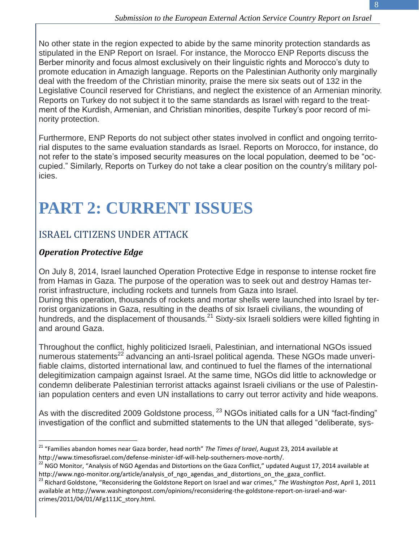No other state in the region expected to abide by the same minority protection standards as stipulated in the ENP Report on Israel. For instance, the Morocco ENP Reports discuss the Berber minority and focus almost exclusively on their linguistic rights and Morocco's duty to promote education in Amazigh language. Reports on the Palestinian Authority only marginally deal with the freedom of the Christian minority, praise the mere six seats out of 132 in the Legislative Council reserved for Christians, and neglect the existence of an Armenian minority. Reports on Turkey do not subject it to the same standards as Israel with regard to the treatment of the Kurdish, Armenian, and Christian minorities, despite Turkey's poor record of minority protection.

Furthermore, ENP Reports do not subject other states involved in conflict and ongoing territorial disputes to the same evaluation standards as Israel. Reports on Morocco, for instance, do not refer to the state's imposed security measures on the local population, deemed to be "occupied." Similarly, Reports on Turkey do not take a clear position on the country's military policies.

### **PART 2: CURRENT ISSUES**

#### ISRAEL CITIZENS UNDER ATTACK

#### *Operation Protective Edge*

 $\overline{a}$ 

On July 8, 2014, Israel launched Operation Protective Edge in response to intense rocket fire from Hamas in Gaza. The purpose of the operation was to seek out and destroy Hamas terrorist infrastructure, including rockets and tunnels from Gaza into Israel. During this operation, thousands of rockets and mortar shells were launched into Israel by terrorist organizations in Gaza, resulting in the deaths of six Israeli civilians, the wounding of hundreds, and the displacement of thousands.<sup>21</sup> Sixty-six Israeli soldiers were killed fighting in and around Gaza.

Throughout the conflict, highly politicized Israeli, Palestinian, and international NGOs issued numerous statements<sup>22</sup> advancing an anti-Israel political agenda. These NGOs made unverifiable claims, distorted international law, and continued to fuel the flames of the international delegitimization campaign against Israel. At the same time, NGOs did little to acknowledge or condemn deliberate Palestinian terrorist attacks against Israeli civilians or the use of Palestinian population centers and even UN installations to carry out terror activity and hide weapons.

As with the discredited 2009 Goldstone process, <sup>23</sup> NGOs initiated calls for a UN "fact-finding" investigation of the conflict and submitted statements to the UN that alleged "deliberate, sys-

<sup>21</sup> "Families abandon homes near Gaza border, head north" *The Times of Israel*, August 23, 2014 available at http://www.timesofisrael.com/defense-minister-idf-will-help-southerners-move-north/.

 $22$  NGO Monitor, "Analysis of NGO Agendas and Distortions on the Gaza Conflict," updated August 17, 2014 available at http://www.ngo-monitor.org/article/analysis\_of\_ngo\_agendas\_and\_distortions\_on\_the\_gaza\_conflict.

<sup>23</sup> Richard Goldstone, "Reconsidering the Goldstone Report on Israel and war crimes," *The Washington Post*, April 1, 2011 available at http://www.washingtonpost.com/opinions/reconsidering-the-goldstone-report-on-israel-and-warcrimes/2011/04/01/AFg111JC\_story.html.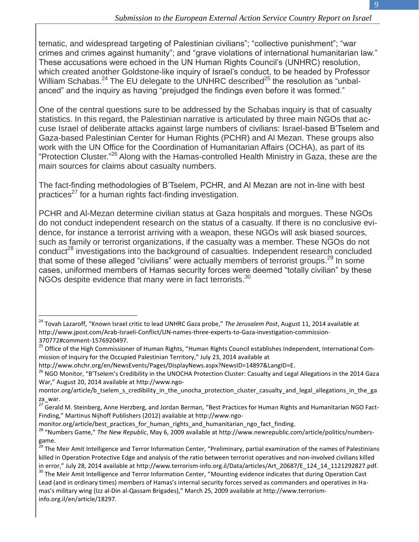tematic, and widespread targeting of Palestinian civilians"; "collective punishment"; "war crimes and crimes against humanity"; and "grave violations of international humanitarian law." These accusations were echoed in the UN Human Rights Council's (UNHRC) resolution, which created another Goldstone-like inquiry of Israel's conduct, to be headed by Professor William Schabas.<sup>24</sup> The EU delegate to the UNHRC described<sup>25</sup> the resolution as "unbalanced" and the inquiry as having "prejudged the findings even before it was formed."

One of the central questions sure to be addressed by the Schabas inquiry is that of casualty statistics. In this regard, the Palestinian narrative is articulated by three main NGOs that accuse Israel of deliberate attacks against large numbers of civilians: Israel-based B'Tselem and Gaza-based Palestinian Center for Human Rights (PCHR) and Al Mezan. These groups also work with the UN Office for the Coordination of Humanitarian Affairs (OCHA), as part of its "Protection Cluster."<sup>26</sup> Along with the Hamas-controlled Health Ministry in Gaza, these are the main sources for claims about casualty numbers.

The fact-finding methodologies of B'Tselem, PCHR, and Al Mezan are not in-line with best practices<sup>27</sup> for a human rights fact-finding investigation.

PCHR and Al-Mezan determine civilian status at Gaza hospitals and morgues. These NGOs do not conduct independent research on the status of a casualty. If there is no conclusive evidence, for instance a terrorist arriving with a weapon, these NGOs will ask biased sources, such as family or terrorist organizations, if the casualty was a member. These NGOs do not conduct<sup>28</sup> investigations into the background of casualties. Independent research concluded that some of these alleged "civilians" were actually members of terrorist groups.<sup>29</sup> In some cases, uniformed members of Hamas security forces were deemed "totally civilian" by these NGOs despite evidence that many were in fact terrorists.<sup>30</sup>

 $\overline{a}$ 

monitor.org/article/best\_practices\_for\_human\_rights\_and\_humanitarian\_ngo\_fact\_finding.

<sup>24</sup> Tovah Lazaroff, "Known Israel critic to lead UNHRC Gaza probe," *The Jerusalem Post*, August 11, 2014 available at http://www.jpost.com/Arab-Israeli-Conflict/UN-names-three-experts-to-Gaza-investigation-commission-370772#comment-1576920497.

<sup>&</sup>lt;sup>25</sup> Office of the High Commissioner of Human Rights, "Human Rights Council establishes Independent, International Commission of Inquiry for the Occupied Palestinian Territory," July 23, 2014 available at

http://www.ohchr.org/en/NewsEvents/Pages/DisplayNews.aspx?NewsID=14897&LangID=E.

<sup>&</sup>lt;sup>26</sup> NGO Monitor, "B'Tselem's Credibility in the UNOCHA Protection Cluster: Casualty and Legal Allegations in the 2014 Gaza War," August 20, 2014 available at http://www.ngo-

montor.org/article/b\_tselem\_s\_credibility\_in\_the\_unocha\_protection\_cluster\_casualty\_and\_legal\_allegations\_in\_the\_ga za\_war.

 $27$  Gerald M. Steinberg, Anne Herzberg, and Jordan Berman, "Best Practices for Human Rights and Humanitarian NGO Fact-Finding," Martinus Nijhoff Publishers (2012) available at http://www.ngo-

<sup>28</sup> "Numbers Game," *The New Republic*, May 6, 2009 available at http://www.newrepublic.com/article/politics/numbersgame.

 $<sup>9</sup>$  The Meir Amit Intelligence and Terror Information Center, "Preliminary, partial examination of the names of Palestinians</sup> killed in Operation Protective Edge and analysis of the ratio between terrorist operatives and non-involved civilians killed in error," July 28, 2014 available at http://www.terrorism-info.org.il/Data/articles/Art\_20687/E\_124\_14\_1121292827.pdf.

<sup>&</sup>lt;sup>30</sup> The Meir Amit Intelligence and Terror Information Center, "Mounting evidence indicates that during Operation Cast Lead (and in ordinary times) members of Hamas's internal security forces served as commanders and operatives in Hamas's military wing (Izz al-Din al-Qassam Brigades)," March 25, 2009 available at http://www.terrorisminfo.org.il/en/article/18297.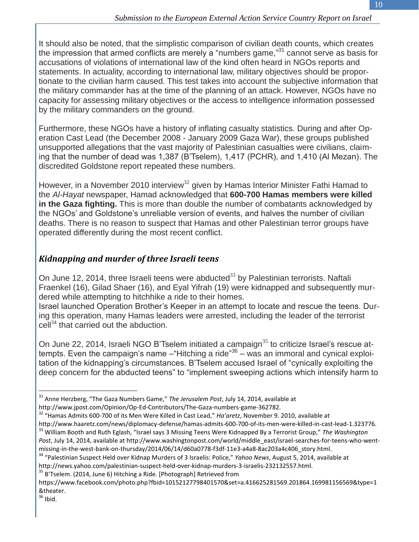It should also be noted, that the simplistic comparison of civilian death counts, which creates the impression that armed conflicts are merely a "numbers game,"<sup>31</sup> cannot serve as basis for accusations of violations of international law of the kind often heard in NGOs reports and statements. In actuality, according to international law, military objectives should be proportionate to the civilian harm caused. This test takes into account the subjective information that the military commander has at the time of the planning of an attack. However, NGOs have no capacity for assessing military objectives or the access to intelligence information possessed by the military commanders on the ground.

Furthermore, these NGOs have a history of inflating casualty statistics. During and after Operation Cast Lead (the December 2008 - January 2009 Gaza War), these groups published unsupported allegations that the vast majority of Palestinian casualties were civilians, claiming that the number of dead was 1,387 (B'Tselem), 1,417 (PCHR), and 1,410 (Al Mezan). The discredited Goldstone report repeated these numbers.

However, in a November 2010 interview<sup>32</sup> given by Hamas Interior Minister Fathi Hamad to the *Al-Hayat* newspaper, Hamad acknowledged that **600-700 Hamas members were killed in the Gaza fighting.** This is more than double the number of combatants acknowledged by the NGOs' and Goldstone's unreliable version of events, and halves the number of civilian deaths. There is no reason to suspect that Hamas and other Palestinian terror groups have operated differently during the most recent conflict.

#### *Kidnapping and murder of three Israeli teens*

On June 12, 2014, three Israeli teens were abducted $^{33}$  by Palestinian terrorists. Naftali Fraenkel (16), Gilad Shaer (16), and Eyal Yifrah (19) were kidnapped and subsequently murdered while attempting to hitchhike a ride to their homes.

Israel launched Operation Brother's Keeper in an attempt to locate and rescue the teens. During this operation, many Hamas leaders were arrested, including the leader of the terrorist  $\text{cell}^{34}$  that carried out the abduction.

On June 22, 2014, Israeli NGO B'Tselem initiated a campaign $^{35}$  to criticize Israel's rescue attempts. Even the campaign's name – "Hitching a ride"<sup>36</sup> – was an immoral and cynical exploitation of the kidnapping's circumstances. B'Tselem accused Israel of "cynically exploiting the deep concern for the abducted teens" to "implement sweeping actions which intensify harm to

<sup>31</sup> Anne Herzberg, "The Gaza Numbers Game," *The Jerusalem Post*, July 14, 2014, available at http://www.jpost.com/Opinion/Op-Ed-Contributors/The-Gaza-numbers-game-362782.

<sup>32</sup> "Hamas Admits 600-700 of its Men Were Killed in Cast Lead," *Ha'aretz*, November 9. 2010, available at

http://www.haaretz.com/news/diplomacy-defense/hamas-admits-600-700-of-its-men-were-killed-in-cast-lead-1.323776. <sup>33</sup> William Booth and Ruth Eglash, "Israel says 3 Missing Teens Were Kidnapped By a Terrorist Group," *The Washington*  Post, July 14, 2014, available at http://www.washingtonpost.com/world/middle\_east/israel-searches-for-teens-who-wentmissing-in-the-west-bank-on-thursday/2014/06/14/d60a0778-f3df-11e3-a4a8-8ac203a4c406\_story.html.

<sup>34</sup> "Palestinian Suspect Held over Kidnap Murders of 3 Israelis: Police," *Yahoo News*, August 5, 2014, available at http://news.yahoo.com/palestinian-suspect-held-over-kidnap-murders-3-israelis-232132557.html.

 $35$  B'Tselem. (2014, June 6) Hitching a Ride. [Photograph] Retrieved from

https://www.facebook.com/photo.php?fbid=10152127798401570&set=a.416625281569.201864.169981156569&type=1 &theater.

 $36$  Ibid.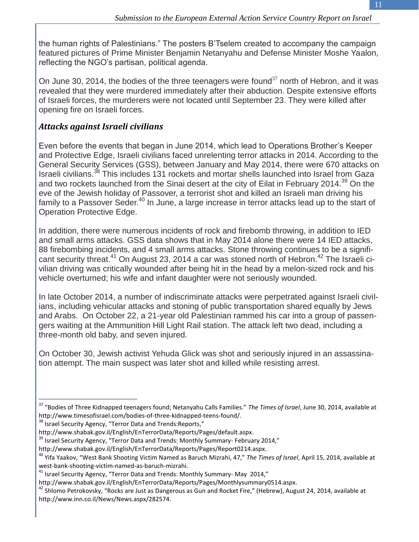the human rights of Palestinians." The posters B'Tselem created to accompany the campaign featured pictures of Prime Minister Benjamin Netanyahu and Defense Minister Moshe Yaalon, reflecting the NGO's partisan, political agenda.

On June 30, 2014, the bodies of the three teenagers were found<sup>37</sup> north of Hebron, and it was revealed that they were murdered immediately after their abduction. Despite extensive efforts of Israeli forces, the murderers were not located until September 23. They were killed after opening fire on Israeli forces.

#### *Attacks against Israeli civilians*

Even before the events that began in June 2014, which lead to Operations Brother's Keeper and Protective Edge, Israeli civilians faced unrelenting terror attacks in 2014. According to the General Security Services (GSS), between January and May 2014, there were 670 attacks on Israeli civilians.<sup>38</sup> This includes 131 rockets and mortar shells launched into Israel from Gaza and two rockets launched from the Sinai desert at the city of Eilat in February 2014.<sup>39</sup> On the eve of the Jewish holiday of Passover, a terrorist shot and killed an Israeli man driving his family to a Passover Seder.<sup>40</sup> In June, a large increase in terror attacks lead up to the start of Operation Protective Edge.

In addition, there were numerous incidents of rock and firebomb throwing, in addition to IED and small arms attacks. GSS data shows that in May 2014 alone there were 14 IED attacks, 88 firebombing incidents, and 4 small arms attacks. Stone throwing continues to be a significant security threat.<sup>41</sup> On August 23, 2014 a car was stoned north of Hebron.<sup>42</sup> The Israeli civilian driving was critically wounded after being hit in the head by a melon-sized rock and his vehicle overturned; his wife and infant daughter were not seriously wounded.

In late October 2014, a number of indiscriminate attacks were perpetrated against Israeli civilians, including vehicular attacks and stoning of public transportation shared equally by Jews and Arabs. On October 22, a 21-year old Palestinian rammed his car into a group of passengers waiting at the Ammunition Hill Light Rail station. The attack left two dead, including a three-month old baby, and seven injured.

On October 30, Jewish activist Yehuda Glick was shot and seriously injured in an assassination attempt. The main suspect was later shot and killed while resisting arrest.

<sup>37</sup> "Bodies of Three Kidnapped teenagers found; Netanyahu Calls Families." *The Times of Israel*, June 30, 2014, available at http://www.timesofisrael.com/bodies-of-three-kidnapped-teens-found/.

<sup>&</sup>lt;sup>38</sup> Israel Security Agency, "Terror Data and Trends:Reports,"

http://www.shabak.gov.il/English/EnTerrorData/Reports/Pages/default.aspx.

 $39$  Israel Security Agency, "Terror Data and Trends: Monthly Summary- February 2014,"

http://www.shabak.gov.il/English/EnTerrorData/Reports/Pages/Report0214.aspx.

<sup>40</sup> Yifa Yaakov, "West Bank Shooting Victim Named as Baruch Mizrahi, 47," *The Times of Israel*, April 15, 2014, available at west-bank-shooting-victim-named-as-baruch-mizrahi.

<sup>41</sup> Israel Security Agency, "Terror Data and Trends: Monthly Summary- May 2014,"

http://www.shabak.gov.il/English/EnTerrorData/Reports/Pages/Monthlysummary0514.aspx.

 $42$  Shlomo Petrokovsky, "Rocks are Just as Dangerous as Gun and Rocket Fire," (Hebrew), August 24, 2014, available at http://www.inn.co.il/News/News.aspx/282574.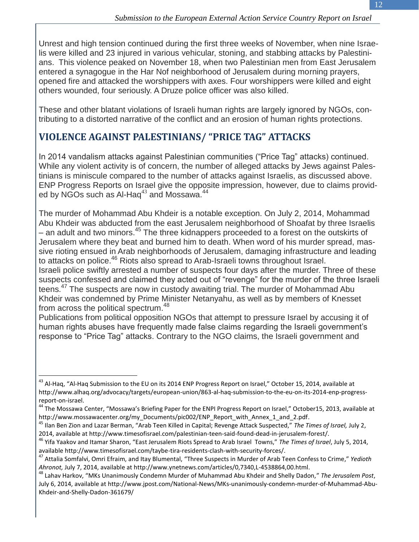Unrest and high tension continued during the first three weeks of November, when nine Israelis were killed and 23 injured in various vehicular, stoning, and stabbing attacks by Palestinians. This violence peaked on November 18, when two Palestinian men from East Jerusalem entered a synagogue in the Har Nof neighborhood of Jerusalem during morning prayers, opened fire and attacked the worshippers with axes. Four worshippers were killed and eight others wounded, four seriously. A Druze police officer was also killed.

These and other blatant violations of Israeli human rights are largely ignored by NGOs, contributing to a distorted narrative of the conflict and an erosion of human rights protections.

#### **VIOLENCE AGAINST PALESTINIANS/ "PRICE TAG" ATTACKS**

In 2014 vandalism attacks against Palestinian communities ("Price Tag" attacks) continued. While any violent activity is of concern, the number of alleged attacks by Jews against Palestinians is miniscule compared to the number of attacks against Israelis, as discussed above. ENP Progress Reports on Israel give the opposite impression, however, due to claims provided by NGOs such as Al-Haq $^{43}$  and Mossawa. $^{44}$ 

The murder of Mohammad Abu Khdeir is a notable exception. On July 2, 2014, Mohammad Abu Khdeir was abducted from the east Jerusalem neighborhood of Shoafat by three Israelis – an adult and two minors.<sup>45</sup> The three kidnappers proceeded to a forest on the outskirts of Jerusalem where they beat and burned him to death. When word of his murder spread, massive rioting ensued in Arab neighborhoods of Jerusalem, damaging infrastructure and leading to attacks on police.<sup>46</sup> Riots also spread to Arab-Israeli towns throughout Israel. Israeli police swiftly arrested a number of suspects four days after the murder. Three of these

suspects confessed and claimed they acted out of "revenge" for the murder of the three Israeli teens.<sup>47</sup> The suspects are now in custody awaiting trial. The murder of Mohammad Abu Khdeir was condemned by Prime Minister Netanyahu, as well as by members of Knesset from across the political spectrum.<sup>48</sup>

Publications from political opposition NGOs that attempt to pressure Israel by accusing it of human rights abuses have frequently made false claims regarding the Israeli government's response to "Price Tag" attacks. Contrary to the NGO claims, the Israeli government and

<sup>&</sup>lt;sup>43</sup> Al-Haq, "Al-Haq Submission to the EU on its 2014 ENP Progress Report on Israel," October 15, 2014, available at http://www.alhaq.org/advocacy/targets/european-union/863-al-haq-submission-to-the-eu-on-its-2014-enp-progressreport-on-israel.

<sup>&</sup>lt;sup>44</sup> The Mossawa Center, "Mossawa's Briefing Paper for the ENPI Progress Report on Israel," October15, 2013, available at http://www.mossawacenter.org/my\_Documents/pic002/ENP\_Report\_with\_Annex\_1\_and\_2.pdf.

<sup>45</sup> Ilan Ben Zion and Lazar Berman, "Arab Teen Killed in Capital; Revenge Attack Suspected," *The Times of Israel,* July 2, 2014, available at http://www.timesofisrael.com/palestinian-teen-said-found-dead-in-jerusalem-forest/.

<sup>46</sup> Yifa Yaakov and Itamar Sharon, "East Jerusalem Riots Spread to Arab Israel Towns," *The Times of Israel*, July 5, 2014, available http://www.timesofisrael.com/taybe-tira-residents-clash-with-security-forces/.

<sup>47</sup> Attalia Somfalvi, Omri Efraim, and Itay Blumental, "Three Suspects in Murder of Arab Teen Confess to Crime," *Yedioth Ahronot,* July 7, 2014, available at http://www.ynetnews.com/articles/0,7340,L-4538864,00.html.

<sup>48</sup> Lahav Harkov, "MKs Unanimously Condemn Murder of Muhammad Abu Khdeir and Shelly Dadon," *The Jerusalem Post*, July 6, 2014, available at http://www.jpost.com/National-News/MKs-unanimously-condemn-murder-of-Muhammad-Abu-Khdeir-and-Shelly-Dadon-361679/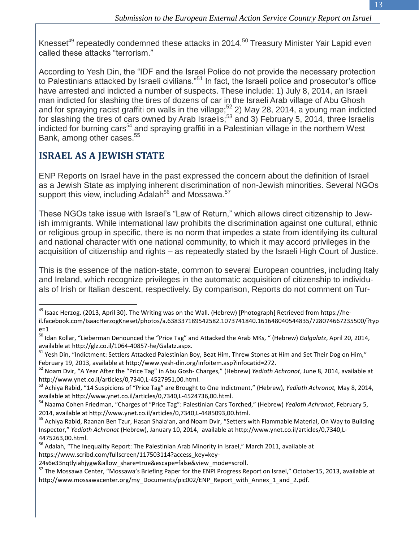Knesset<sup>49</sup> repeatedly condemned these attacks in 2014.<sup>50</sup> Treasury Minister Yair Lapid even called these attacks "terrorism."

According to Yesh Din, the "IDF and the Israel Police do not provide the necessary protection to Palestinians attacked by Israeli civilians."<sup>51</sup> In fact, the Israeli police and prosecutor's office have arrested and indicted a number of suspects. These include: 1) July 8, 2014, an Israeli man indicted for slashing the tires of dozens of car in the Israeli Arab village of Abu Ghosh and for spraying racist graffiti on walls in the village;<sup>52</sup> 2) May 28, 2014, a young man indicted for slashing the tires of cars owned by Arab Israelis;<sup>53</sup> and 3) February 5, 2014, three Israelis indicted for burning cars<sup>54</sup> and spraying graffiti in a Palestinian village in the northern West Bank, among other cases. 55

#### **ISRAEL AS A JEWISH STATE**

 $\overline{a}$ 

ENP Reports on Israel have in the past expressed the concern about the definition of Israel as a Jewish State as implying inherent discrimination of non-Jewish minorities. Several NGOs support this view, including Adalah<sup>56</sup> and Mossawa.<sup>57</sup>

These NGOs take issue with Israel's "Law of Return," which allows direct citizenship to Jewish immigrants. While international law prohibits the discrimination against one cultural, ethnic or religious group in specific, there is no norm that impedes a state from identifying its cultural and national character with one national community, to which it may accord privileges in the acquisition of citizenship and rights – as repeatedly stated by the Israeli High Court of Justice.

This is the essence of the nation-state, common to several European countries, including Italy and Ireland, which recognize privileges in the automatic acquisition of citizenship to individuals of Irish or Italian descent, respectively. By comparison, Reports do not comment on Tur-

<sup>&</sup>lt;sup>49</sup> Isaac Herzog. (2013, April 30). The Writing was on the Wall. (Hebrew) [Photograph] Retrieved from https://heil.facebook.com/IsaacHerzogKneset/photos/a.638337189542582.1073741840.161648040544835/728074667235500/?typ  $e=1$ 

<sup>50</sup> Idan Kollar, "Lieberman Denounced the "Price Tag" and Attacked the Arab MKs, " (Hebrew) *Galgalatz*, April 20, 2014, available at http://glz.co.il/1064-40857-he/Galatz.aspx.

<sup>&</sup>lt;sup>51</sup> Yesh Din, "Indictment: Settlers Attacked Palestinian Boy, Beat Him, Threw Stones at Him and Set Their Dog on Him," February 19, 2013, available at http://www.yesh-din.org/infoitem.asp?infocatid=272.

<sup>52</sup> Noam Dvir, "A Year After the "Price Tag" in Abu Gosh- Charges," (Hebrew) *Yedioth Achronot*, June 8, 2014, available at http://www.ynet.co.il/articles/0,7340,L-4527951,00.html.

<sup>53</sup> Achiya Rabid, "14 Suspicions of "Price Tag" are Brought to One Indictment," (Hebrew), *Yedioth Achronot,* May 8, 2014, available at http://www.ynet.co.il/articles/0,7340,L-4524736,00.html.

<sup>54</sup> Naama Cohen Friedman, "Charges of "Price Tag": Palestinian Cars Torched," (Hebrew) *Yedioth Achronot*, February 5, 2014, available at http://www.ynet.co.il/articles/0,7340,L-4485093,00.html.

<sup>&</sup>lt;sup>55</sup> Achiya Rabid, Raanan Ben Tzur, Hasan Shala'an, and Noam Dvir, "Setters with Flammable Material, On Way to Building Inspector," *Yedioth Achronot* (Hebrew), January 10, 2014, available at http://www.ynet.co.il/articles/0,7340,L-4475263,00.html.

<sup>&</sup>lt;sup>56</sup> Adalah, "The Inequality Report: The Palestinian Arab Minority in Israel," March 2011, available at https://www.scribd.com/fullscreen/117503114?access\_key=key-

<sup>24</sup>s6e33nqtlyiahjygw&allow\_share=true&escape=false&view\_mode=scroll.

<sup>&</sup>lt;sup>57</sup> The Mossawa Center, "Mossawa's Briefing Paper for the ENPI Progress Report on Israel," October15, 2013, available at http://www.mossawacenter.org/my\_Documents/pic002/ENP\_Report\_with\_Annex\_1\_and\_2.pdf.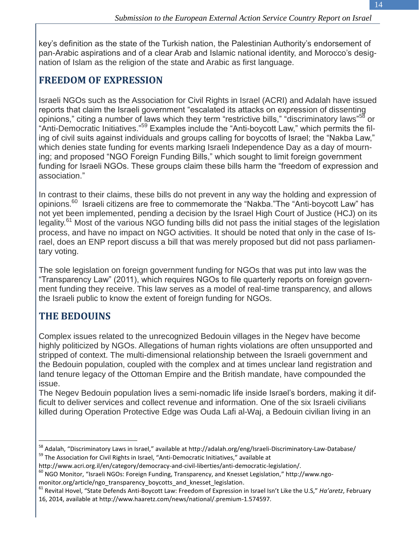key's definition as the state of the Turkish nation, the Palestinian Authority's endorsement of pan-Arabic aspirations and of a clear Arab and Islamic national identity, and Morocco's designation of Islam as the religion of the state and Arabic as first language.

#### **FREEDOM OF EXPRESSION**

Israeli NGOs such as the Association for Civil Rights in Israel (ACRI) and Adalah have issued reports that claim the Israeli government "escalated its attacks on expression of dissenting opinions," citing a number of laws which they term "restrictive bills," "discriminatory laws"<sup>58</sup> or "Anti-Democratic Initiatives."<sup>59</sup> Examples include the "Anti-boycott Law," which permits the filing of civil suits against individuals and groups calling for boycotts of Israel; the "Nakba Law," which denies state funding for events marking Israeli Independence Day as a day of mourning; and proposed "NGO Foreign Funding Bills," which sought to limit foreign government funding for Israeli NGOs. These groups claim these bills harm the "freedom of expression and association."

In contrast to their claims, these bills do not prevent in any way the holding and expression of opinions.<sup>60</sup> Israeli citizens are free to commemorate the "Nakba."The "Anti-boycott Law" has not yet been implemented, pending a decision by the Israel High Court of Justice (HCJ) on its legality.<sup>61</sup> Most of the various NGO funding bills did not pass the initial stages of the legislation process, and have no impact on NGO activities. It should be noted that only in the case of Israel, does an ENP report discuss a bill that was merely proposed but did not pass parliamentary voting.

The sole legislation on foreign government funding for NGOs that was put into law was the "Transparency Law" (2011), which requires NGOs to file quarterly reports on foreign government funding they receive. This law serves as a model of real-time transparency, and allows the Israeli public to know the extent of foreign funding for NGOs.

#### **THE BEDOUINS**

 $\overline{a}$ 

Complex issues related to the unrecognized Bedouin villages in the Negev have become highly politicized by NGOs. Allegations of human rights violations are often unsupported and stripped of context. The multi-dimensional relationship between the Israeli government and the Bedouin population, coupled with the complex and at times unclear land registration and land tenure legacy of the Ottoman Empire and the British mandate, have compounded the issue.

The Negev Bedouin population lives a semi-nomadic life inside Israel's borders, making it difficult to deliver services and collect revenue and information. One of the six Israeli civilians killed during Operation Protective Edge was Ouda Lafi al-Waj, a Bedouin civilian living in an

<sup>58</sup> Adalah, "Discriminatory Laws in Israel," available at http://adalah.org/eng/Israeli-Discriminatory-Law-Database/ <sup>59</sup> The Association for Civil Rights in Israel, "Anti-Democratic Initiatives," available at

http://www.acri.org.il/en/category/democracy-and-civil-liberties/anti-democratic-legislation/.

<sup>60</sup> NGO Monitor, "Israeli NGOs: Foreign Funding, Transparency, and Knesset Legislation," http://www.ngo-

monitor.org/article/ngo\_transparency\_boycotts\_and\_knesset\_legislation.

<sup>61</sup> Revital Hovel, "State Defends Anti-Boycott Law: Freedom of Expression in Israel Isn't Like the U.S," *Ha'aretz*, February 16, 2014, available at http://www.haaretz.com/news/national/.premium-1.574597.